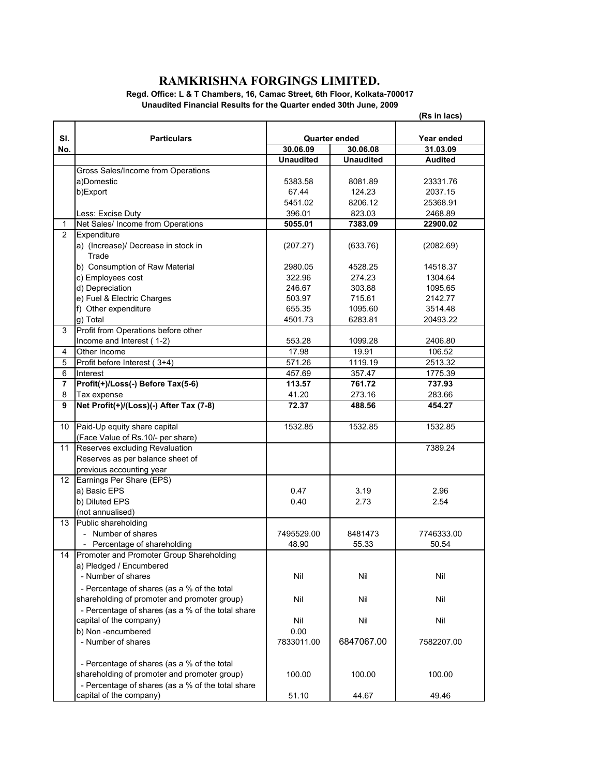## **RAMKRISHNA FORGINGS LIMITED.**

**Regd. Office: L & T Chambers, 16, Camac Street, 6th Floor, Kolkata-700017 Unaudited Financial Results for the Quarter ended 30th June, 2009**

|                 |                                                                                             |                  |                      | (Rs in lacs)   |
|-----------------|---------------------------------------------------------------------------------------------|------------------|----------------------|----------------|
|                 |                                                                                             |                  |                      |                |
| SI.             | <b>Particulars</b>                                                                          |                  | <b>Quarter ended</b> | Year ended     |
| No.             |                                                                                             | 30.06.09         | 30.06.08             | 31.03.09       |
|                 |                                                                                             | <b>Unaudited</b> | <b>Unaudited</b>     | <b>Audited</b> |
|                 | Gross Sales/Income from Operations                                                          |                  |                      |                |
|                 | a)Domestic                                                                                  | 5383.58          | 8081.89              | 23331.76       |
|                 | b)Export                                                                                    | 67.44            | 124.23               | 2037.15        |
|                 |                                                                                             | 5451.02          | 8206.12              | 25368.91       |
|                 | Less: Excise Duty                                                                           | 396.01           | 823.03               | 2468.89        |
| 1               | Net Sales/ Income from Operations                                                           | 5055.01          | 7383.09              | 22900.02       |
| 2               | Expenditure                                                                                 |                  |                      |                |
|                 | a) (Increase)/ Decrease in stock in                                                         | (207.27)         | (633.76)             | (2082.69)      |
|                 | Trade                                                                                       |                  |                      |                |
|                 | b) Consumption of Raw Material                                                              | 2980.05          | 4528.25              | 14518.37       |
|                 | c) Employees cost                                                                           | 322.96           | 274.23               | 1304.64        |
|                 | d) Depreciation                                                                             | 246.67           | 303.88               | 1095.65        |
|                 | e) Fuel & Electric Charges                                                                  | 503.97           | 715.61               | 2142.77        |
|                 | f) Other expenditure                                                                        | 655.35           | 1095.60              | 3514.48        |
|                 | g) Total                                                                                    | 4501.73          | 6283.81              | 20493.22       |
| 3               | Profit from Operations before other                                                         |                  |                      |                |
|                 | Income and Interest (1-2)                                                                   | 553.28           | 1099.28              | 2406.80        |
| 4               | Other Income                                                                                | 17.98            | 19.91                | 106.52         |
| 5               | Profit before Interest (3+4)                                                                | 571.26           | 1119.19              | 2513.32        |
| 6               | Interest                                                                                    | 457.69           | 357.47               | 1775.39        |
| $\overline{7}$  | Profit(+)/Loss(-) Before Tax(5-6)                                                           | 113.57           | 761.72               | 737.93         |
| 8               | Tax expense                                                                                 | 41.20            | 273.16               | 283.66         |
| 9               | Net Profit(+)/(Loss)(-) After Tax (7-8)                                                     | 72.37            | 488.56               | 454.27         |
|                 |                                                                                             |                  |                      |                |
| 10<br>11        | Paid-Up equity share capital                                                                | 1532.85          | 1532.85              | 1532.85        |
|                 | (Face Value of Rs.10/- per share)                                                           |                  |                      |                |
|                 | Reserves excluding Revaluation                                                              |                  |                      | 7389.24        |
|                 | Reserves as per balance sheet of                                                            |                  |                      |                |
|                 | previous accounting year                                                                    |                  |                      |                |
| 12 <sup>°</sup> | Earnings Per Share (EPS)                                                                    |                  |                      |                |
|                 | a) Basic EPS                                                                                | 0.47             | 3.19                 | 2.96           |
|                 | b) Diluted EPS                                                                              | 0.40             | 2.73                 | 2.54           |
|                 | (not annualised)                                                                            |                  |                      |                |
| 13              | Public shareholding                                                                         |                  |                      |                |
|                 | - Number of shares                                                                          | 7495529.00       | 8481473              | 7746333.00     |
|                 | Percentage of shareholding                                                                  | 48.90            | 55.33                | 50.54          |
| 14              | Promoter and Promoter Group Shareholding                                                    |                  |                      |                |
|                 | a) Pledged / Encumbered                                                                     |                  |                      |                |
|                 | - Number of shares                                                                          | Nil              | Nil                  | Nil            |
|                 |                                                                                             |                  |                      |                |
|                 | - Percentage of shares (as a % of the total<br>shareholding of promoter and promoter group) |                  |                      |                |
|                 |                                                                                             | Nil              | Nil                  | Nil            |
|                 | - Percentage of shares (as a % of the total share                                           |                  |                      |                |
|                 | capital of the company)                                                                     | Nil              | Nil                  | Nil            |
|                 | b) Non-encumbered                                                                           | 0.00             |                      |                |
|                 | - Number of shares                                                                          | 7833011.00       | 6847067.00           | 7582207.00     |
|                 |                                                                                             |                  |                      |                |
|                 | - Percentage of shares (as a % of the total                                                 |                  |                      |                |
|                 | shareholding of promoter and promoter group)                                                | 100.00           | 100.00               | 100.00         |
|                 | - Percentage of shares (as a % of the total share                                           |                  |                      |                |
|                 | capital of the company)                                                                     | 51.10            | 44.67                | 49.46          |